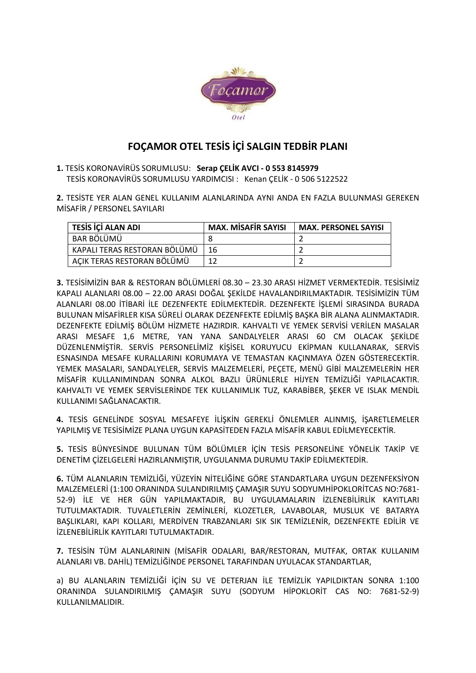

## FOÇAMOR OTEL TESİS İÇİ SALGIN TEDBİR PLANI

1. TESİS KORONAVİRÜS SORUMLUSU: Serap ÇELİK AVCI - 0 553 8145979 TESİS KORONAVİRÜS SORUMLUSU YARDIMCISI : Kenan ÇELİK - 0 506 5122522

2. TESİSTE YER ALAN GENEL KULLANIM ALANLARINDA AYNI ANDA EN FAZLA BULUNMASI GEREKEN MİSAFİR / PERSONEL SAYILARI

| TESİS İÇİ ALAN ADI           | MAX. MİSAFİR SAYISI | <b>MAX. PERSONEL SAYISI</b> |
|------------------------------|---------------------|-----------------------------|
| BAR BÖLÜMÜ                   |                     |                             |
| KAPALI TERAS RESTORAN BÖLÜMÜ | 16                  |                             |
| AÇIK TERAS RESTORAN BÖLÜMÜ   |                     |                             |

3. TESİSİMİZİN BAR & RESTORAN BÖLÜMLERİ 08.30 – 23.30 ARASI HİZMET VERMEKTEDİR. TESİSİMİZ KAPALI ALANLARI 08.00 – 22.00 ARASI DOĞAL ŞEKİLDE HAVALANDIRILMAKTADIR. TESİSİMİZİN TÜM ALANLARI 08.00 İTİBARİ İLE DEZENFEKTE EDİLMEKTEDİR. DEZENFEKTE İŞLEMİ SIRASINDA BURADA BULUNAN MİSAFİRLER KISA SÜRELİ OLARAK DEZENFEKTE EDİLMİŞ BAŞKA BİR ALANA ALINMAKTADIR. DEZENFEKTE EDİLMİŞ BÖLÜM HİZMETE HAZIRDIR. KAHVALTI VE YEMEK SERVİSİ VERİLEN MASALAR ARASI MESAFE 1,6 METRE, YAN YANA SANDALYELER ARASI 60 CM OLACAK ŞEKİLDE DÜZENLENMİŞTİR. SERVİS PERSONELİMİZ KİŞİSEL KORUYUCU EKİPMAN KULLANARAK, SERVİS ESNASINDA MESAFE KURALLARINI KORUMAYA VE TEMASTAN KAÇINMAYA ÖZEN GÖSTERECEKTİR. YEMEK MASALARI, SANDALYELER, SERVİS MALZEMELERİ, PEÇETE, MENÜ GİBİ MALZEMELERİN HER MİSAFİR KULLANIMINDAN SONRA ALKOL BAZLI ÜRÜNLERLE HİJYEN TEMİZLİĞİ YAPILACAKTIR. KAHVALTI VE YEMEK SERVİSLERİNDE TEK KULLANIMLIK TUZ, KARABİBER, ŞEKER VE ISLAK MENDİL KULLANIMI SAĞLANACAKTIR.

4. TESİS GENELİNDE SOSYAL MESAFEYE İLİŞKİN GEREKLİ ÖNLEMLER ALINMIŞ, İŞARETLEMELER YAPILMIŞ VE TESİSİMİZE PLANA UYGUN KAPASİTEDEN FAZLA MİSAFİR KABUL EDİLMEYECEKTİR.

5. TESİS BÜNYESİNDE BULUNAN TÜM BÖLÜMLER İÇİN TESİS PERSONELİNE YÖNELİK TAKİP VE DENETİM ÇİZELGELERİ HAZIRLANMIŞTIR, UYGULANMA DURUMU TAKİP EDİLMEKTEDİR.

6. TÜM ALANLARIN TEMİZLİĞİ, YÜZEYİN NİTELİĞİNE GÖRE STANDARTLARA UYGUN DEZENFEKSİYON MALZEMELERİ (1:100 ORANINDA SULANDIRILMIŞ ÇAMAŞIR SUYU SODYUMHİPOKLORİTCAS NO:7681- 52-9) İLE VE HER GÜN YAPILMAKTADIR, BU UYGULAMALARIN İZLENEBİLİRLİK KAYITLARI TUTULMAKTADIR. TUVALETLERİN ZEMİNLERİ, KLOZETLER, LAVABOLAR, MUSLUK VE BATARYA BAŞLIKLARI, KAPI KOLLARI, MERDİVEN TRABZANLARI SIK SIK TEMİZLENİR, DEZENFEKTE EDİLİR VE İZLENEBİLİRLİK KAYITLARI TUTULMAKTADIR.

7. TESİSİN TÜM ALANLARININ (MİSAFİR ODALARI, BAR/RESTORAN, MUTFAK, ORTAK KULLANIM ALANLARI VB. DAHİL) TEMİZLİĞİNDE PERSONEL TARAFINDAN UYULACAK STANDARTLAR,

a) BU ALANLARIN TEMİZLİĞİ İÇİN SU VE DETERJAN İLE TEMİZLİK YAPILDIKTAN SONRA 1:100 ORANINDA SULANDIRILMIŞ ÇAMAŞIR SUYU (SODYUM HİPOKLORİT CAS NO: 7681-52-9) KULLANILMALIDIR.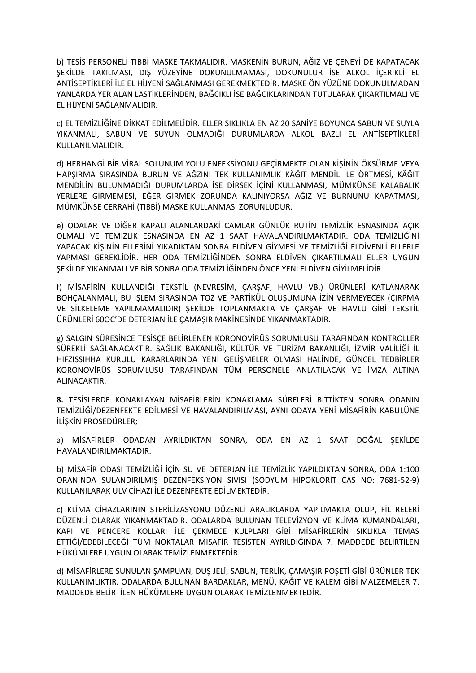b) TESİS PERSONELİ TIBBİ MASKE TAKMALIDIR. MASKENİN BURUN, AĞIZ VE ÇENEYİ DE KAPATACAK ŞEKİLDE TAKILMASI, DIŞ YÜZEYİNE DOKUNULMAMASI, DOKUNULUR İSE ALKOL İÇERİKLİ EL ANTİSEPTİKLERİ İLE EL HİJYENİ SAĞLANMASI GEREKMEKTEDİR. MASKE ÖN YÜZÜNE DOKUNULMADAN YANLARDA YER ALAN LASTİKLERİNDEN, BAĞCIKLI İSE BAĞCIKLARINDAN TUTULARAK ÇIKARTILMALI VE EL HİJYENİ SAĞLANMALIDIR.

c) EL TEMİZLİĞİNE DİKKAT EDİLMELİDİR. ELLER SIKLIKLA EN AZ 20 SANİYE BOYUNCA SABUN VE SUYLA YIKANMALI, SABUN VE SUYUN OLMADIĞI DURUMLARDA ALKOL BAZLI EL ANTİSEPTİKLERİ KULLANILMALIDIR.

d) HERHANGİ BİR VİRAL SOLUNUM YOLU ENFEKSİYONU GEÇİRMEKTE OLAN KİŞİNİN ÖKSÜRME VEYA HAPŞIRMA SIRASINDA BURUN VE AĞZINI TEK KULLANIMLIK KÂĞIT MENDİL İLE ÖRTMESİ, KÂĞIT MENDİLİN BULUNMADIĞI DURUMLARDA İSE DİRSEK İÇİNİ KULLANMASI, MÜMKÜNSE KALABALIK YERLERE GİRMEMESİ, EĞER GİRMEK ZORUNDA KALINIYORSA AĞIZ VE BURNUNU KAPATMASI, MÜMKÜNSE CERRAHİ (TIBBİ) MASKE KULLANMASI ZORUNLUDUR.

e) ODALAR VE DİĞER KAPALI ALANLARDAKİ CAMLAR GÜNLÜK RUTİN TEMİZLİK ESNASINDA AÇIK OLMALI VE TEMİZLİK ESNASINDA EN AZ 1 SAAT HAVALANDIRILMAKTADIR. ODA TEMİZLİĞİNİ YAPACAK KİŞİNİN ELLERİNİ YIKADIKTAN SONRA ELDİVEN GİYMESİ VE TEMİZLİĞİ ELDİVENLİ ELLERLE YAPMASI GEREKLİDİR. HER ODA TEMİZLİĞİNDEN SONRA ELDİVEN ÇIKARTILMALI ELLER UYGUN ŞEKİLDE YIKANMALI VE BİR SONRA ODA TEMİZLİĞİNDEN ÖNCE YENİ ELDİVEN GİYİLMELİDİR.

f) MİSAFİRİN KULLANDIĞI TEKSTİL (NEVRESİM, ÇARŞAF, HAVLU VB.) ÜRÜNLERİ KATLANARAK BOHÇALANMALI, BU İŞLEM SIRASINDA TOZ VE PARTİKÜL OLUŞUMUNA İZİN VERMEYECEK (ÇIRPMA VE SİLKELEME YAPILMAMALIDIR) ŞEKİLDE TOPLANMAKTA VE ÇARŞAF VE HAVLU GİBİ TEKSTİL ÜRÜNLERİ 60OC'DE DETERJAN İLE ÇAMAŞIR MAKİNESİNDE YIKANMAKTADIR.

g) SALGIN SÜRESİNCE TESİSÇE BELİRLENEN KORONOVİRÜS SORUMLUSU TARAFINDAN KONTROLLER SÜREKLİ SAĞLANACAKTIR. SAĞLIK BAKANLIĞI, KÜLTÜR VE TURİZM BAKANLIĞI, İZMİR VALİLİĞİ İL HIFZISSIHHA KURULU KARARLARINDA YENİ GELİŞMELER OLMASI HALİNDE, GÜNCEL TEDBİRLER KORONOVİRÜS SORUMLUSU TARAFINDAN TÜM PERSONELE ANLATILACAK VE İMZA ALTINA ALINACAKTIR.

8. TESİSLERDE KONAKLAYAN MİSAFİRLERİN KONAKLAMA SÜRELERİ BİTTİKTEN SONRA ODANIN TEMİZLİĞİ/DEZENFEKTE EDİLMESİ VE HAVALANDIRILMASI, AYNI ODAYA YENİ MİSAFİRİN KABULÜNE İLİŞKİN PROSEDÜRLER;

a) MİSAFİRLER ODADAN AYRILDIKTAN SONRA, ODA EN AZ 1 SAAT DOĞAL ŞEKİLDE HAVALANDIRILMAKTADIR.

b) MİSAFİR ODASI TEMİZLİĞİ İÇİN SU VE DETERJAN İLE TEMİZLİK YAPILDIKTAN SONRA, ODA 1:100 ORANINDA SULANDIRILMIŞ DEZENFEKSİYON SIVISI (SODYUM HİPOKLORİT CAS NO: 7681-52-9) KULLANILARAK ULV CİHAZI İLE DEZENFEKTE EDİLMEKTEDİR.

c) KLİMA CİHAZLARININ STERİLİZASYONU DÜZENLİ ARALIKLARDA YAPILMAKTA OLUP, FİLTRELERİ DÜZENLİ OLARAK YIKANMAKTADIR. ODALARDA BULUNAN TELEVİZYON VE KLİMA KUMANDALARI, KAPI VE PENCERE KOLLARI İLE ÇEKMECE KULPLARI GİBİ MİSAFİRLERİN SIKLIKLA TEMAS ETTİĞİ/EDEBİLECEĞİ TÜM NOKTALAR MİSAFİR TESİSTEN AYRILDIĞINDA 7. MADDEDE BELİRTİLEN HÜKÜMLERE UYGUN OLARAK TEMİZLENMEKTEDİR.

d) MİSAFİRLERE SUNULAN ŞAMPUAN, DUŞ JELİ, SABUN, TERLİK, ÇAMAŞIR POŞETİ GİBİ ÜRÜNLER TEK KULLANIMLIKTIR. ODALARDA BULUNAN BARDAKLAR, MENÜ, KAĞIT VE KALEM GİBİ MALZEMELER 7. MADDEDE BELİRTİLEN HÜKÜMLERE UYGUN OLARAK TEMİZLENMEKTEDİR.